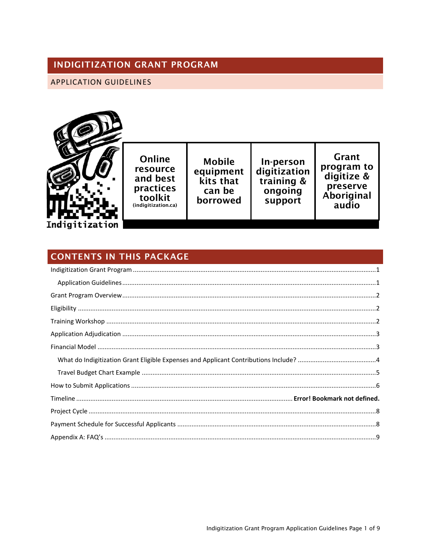## <span id="page-0-0"></span>**INDIGITIZATION GRANT PROGRAM**

#### <span id="page-0-1"></span>APPLICATION GUIDELINES



Online resource and best practices toolkit (indigitization.ca)

**Mobile** equipment kits that can be borrowed

In-person<br>digitization<br>training &

ongoing

support

Grant program to digitize & preserve Aboriginal audio

# **CONTENTS IN THIS PACKAGE**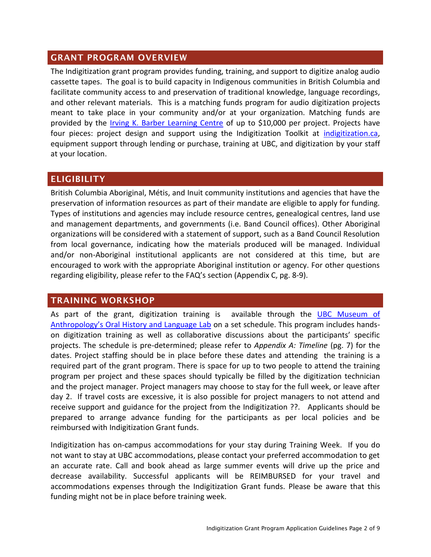#### <span id="page-1-0"></span>**GRANT PROGRAM OVERVIEW**

The Indigitization grant program provides funding, training, and support to digitize analog audio cassette tapes. The goal is to build capacity in Indigenous communities in British Columbia and facilitate community access to and preservation of traditional knowledge, language recordings, and other relevant materials. This is a matching funds program for audio digitization projects meant to take place in your community and/or at your organization. Matching funds are provided by the [Irving K. Barber Learning Centre](http://www.ikebarberlearningcentre.ubc.ca/) of up to \$10,000 per project. Projects have four pieces: project design and support using the Indigitization Toolkit at [indigitization.ca,](http://indigitization.ca/) equipment support through lending or purchase, training at UBC, and digitization by your staff at your location.

### <span id="page-1-1"></span>**ELIGIBILITY**

British Columbia Aboriginal, Métis, and Inuit community institutions and agencies that have the preservation of information resources as part of their mandate are eligible to apply for funding. Types of institutions and agencies may include resource centres, genealogical centres, land use and management departments, and governments (i.e. Band Council offices). Other Aboriginal organizations will be considered with a statement of support, such as a Band Council Resolution from local governance, indicating how the materials produced will be managed. Individual and/or non-Aboriginal institutional applicants are not considered at this time, but are encouraged to work with the appropriate Aboriginal institution or agency. For other questions regarding eligibility, please refer to the FAQ's section (Appendix C, pg. 8-9).

#### <span id="page-1-2"></span>**TRAINING WORKSHOP**

As part of the grant, digitization training is available through the [UBC Museum of](http://moa.ubc.ca/research/library-and-archives/lab.php)  Anthropology's Oral Hi[story and Language Lab](http://moa.ubc.ca/research/library-and-archives/lab.php) on a set schedule. This program includes handson digitization training as well as collaborative discussions about the participants' specific projects. The schedule is pre-determined; please refer to *Appendix A: Timeline* (pg. 7) for the dates. Project staffing should be in place before these dates and attending the training is a required part of the grant program. There is space for up to two people to attend the training program per project and these spaces should typically be filled by the digitization technician and the project manager. Project managers may choose to stay for the full week, or leave after day 2. If travel costs are excessive, it is also possible for project managers to not attend and receive support and guidance for the project from the Indigitization ??. Applicants should be prepared to arrange advance funding for the participants as per local policies and be reimbursed with Indigitization Grant funds.

Indigitization has on-campus accommodations for your stay during Training Week. If you do not want to stay at UBC accommodations, please contact your preferred accommodation to get an accurate rate. Call and book ahead as large summer events will drive up the price and decrease availability. Successful applicants will be REIMBURSED for your travel and accommodations expenses through the Indigitization Grant funds. Please be aware that this funding might not be in place before training week.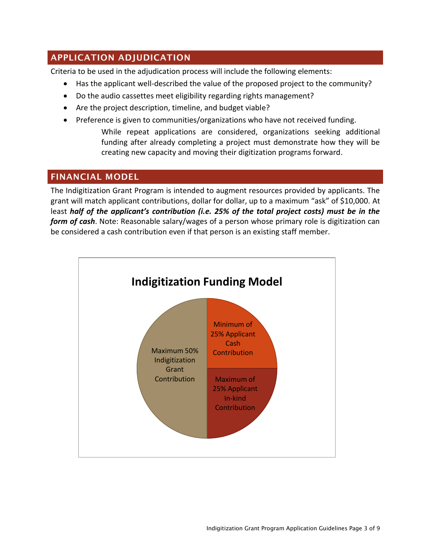## <span id="page-2-0"></span>**APPLICATION ADJUDICATION**

Criteria to be used in the adjudication process will include the following elements:

- Has the applicant well-described the value of the proposed project to the community?
- Do the audio cassettes meet eligibility regarding rights management?
- Are the project description, timeline, and budget viable?
- Preference is given to communities/organizations who have not received funding. While repeat applications are considered, organizations seeking additional funding after already completing a project must demonstrate how they will be creating new capacity and moving their digitization programs forward.

## <span id="page-2-1"></span>**FINANCIAL MODEL**

The Indigitization Grant Program is intended to augment resources provided by applicants. The grant will match applicant contributions, dollar for dollar, up to a maximum "ask" of \$10,000. At least *half of the applicant's contribution (i.e. 25% of the total project costs) must be in the form of cash*. Note: Reasonable salary/wages of a person whose primary role is digitization can be considered a cash contribution even if that person is an existing staff member.

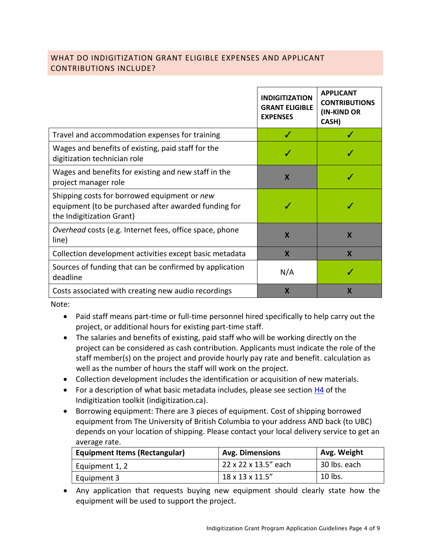#### <span id="page-3-0"></span>WHAT DO INDIGITIZATION GRANT ELIGIBLE EXPENSES AND APPLICANT CONTRIBUTIONS INCLUDE?

|                                                                                                                                   | <b>INDIGITIZATION</b><br><b>GRANT ELIGIBLE</b><br><b>EXPENSES</b> | <b>APPLICANT</b><br><b>CONTRIBUTIONS</b><br>(IN-KIND OR<br>CASH) |
|-----------------------------------------------------------------------------------------------------------------------------------|-------------------------------------------------------------------|------------------------------------------------------------------|
| Travel and accommodation expenses for training                                                                                    | J                                                                 |                                                                  |
| Wages and benefits of existing, paid staff for the<br>digitization technician role                                                | J                                                                 |                                                                  |
| Wages and benefits for existing and new staff in the<br>project manager role                                                      | X                                                                 | J                                                                |
| Shipping costs for borrowed equipment or new<br>equipment (to be purchased after awarded funding for<br>the Indigitization Grant) |                                                                   |                                                                  |
| <i>Overhead</i> costs (e.g. Internet fees, office space, phone<br>line)                                                           | $\mathbf x$                                                       | $\mathbf x$                                                      |
| Collection development activities except basic metadata                                                                           | $\boldsymbol{\mathsf{x}}$                                         | $\boldsymbol{\mathsf{X}}$                                        |
| Sources of funding that can be confirmed by application<br>deadline                                                               | N/A                                                               | J                                                                |
| Costs associated with creating new audio recordings                                                                               | $\boldsymbol{\mathsf{x}}$                                         | $\boldsymbol{\mathsf{x}}$                                        |

Note:

- Paid staff means part-time or full-time personnel hired specifically to help carry out the project, or additional hours for existing part-time staff.
- The salaries and benefits of existing, paid staff who will be working directly on the project can be considered as cash contribution. Applicants must indicate the role of the staff member(s) on the project and provide hourly pay rate and benefit. calculation as well as the number of hours the staff will work on the project.
- Collection development includes the identification or acquisition of new materials.
- For a description of what basic metadata includes, please see section [H4](http://www.indigitization.ca/indigitization-toolkit/metadata-and-description/sample-metadata-template/) of the Indigitization toolkit (indigitization.ca).
- Borrowing equipment: There are 3 pieces of equipment. Cost of shipping borrowed equipment from The University of British Columbia to your address AND back (to UBC) depends on your location of shipping. Please contact your local delivery service to get an average rate.

| <b>Equipment Items (Rectangular)</b> | <b>Avg. Dimensions</b> | Avg. Weight  |
|--------------------------------------|------------------------|--------------|
| Equipment 1, 2                       | 22 x 22 x 13.5" each   | 30 lbs. each |
| Equipment 3                          | 18 x 13 x 11.5"        | 10 lbs.      |

 Any application that requests buying new equipment should clearly state how the equipment will be used to support the project.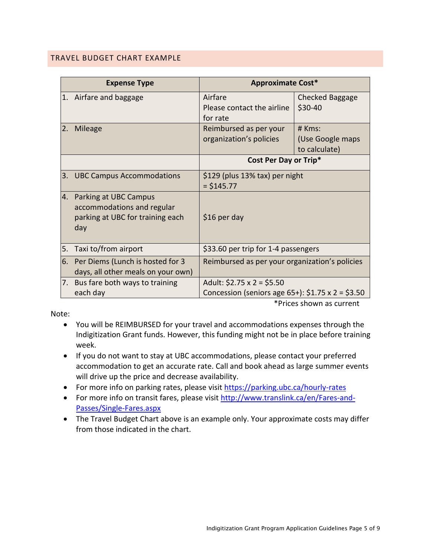#### <span id="page-4-0"></span>TRAVEL BUDGET CHART EXAMPLE

|     | <b>Expense Type</b>                                                                               | <b>Approximate Cost*</b>                                                                  |                                               |
|-----|---------------------------------------------------------------------------------------------------|-------------------------------------------------------------------------------------------|-----------------------------------------------|
|     | 1. Airfare and baggage                                                                            | Airfare<br>Please contact the airline<br>for rate                                         | Checked Baggage<br>\$30-40                    |
| I2. | Mileage                                                                                           | Reimbursed as per your<br>organization's policies                                         | $#$ Kms:<br>(Use Google maps<br>to calculate) |
|     |                                                                                                   | Cost Per Day or Trip*                                                                     |                                               |
| I3. | <b>UBC Campus Accommodations</b>                                                                  | \$129 (plus 13% tax) per night<br>$= $145.77$                                             |                                               |
|     | 4. Parking at UBC Campus<br>accommodations and regular<br>parking at UBC for training each<br>day | \$16 per day                                                                              |                                               |
| 5.  | Taxi to/from airport                                                                              | \$33.60 per trip for 1-4 passengers                                                       |                                               |
|     | 6. Per Diems (Lunch is hosted for 3<br>days, all other meals on your own)                         | Reimbursed as per your organization's policies                                            |                                               |
|     | 7. Bus fare both ways to training<br>each day                                                     | Adult: $$2.75 \times 2 = $5.50$<br>Concession (seniors age 65+): $$1.75 \times 2 = $3.50$ |                                               |

Note:

\*Prices shown as current

- You will be REIMBURSED for your travel and accommodations expenses through the Indigitization Grant funds. However, this funding might not be in place before training week.
- If you do not want to stay at UBC accommodations, please contact your preferred accommodation to get an accurate rate. Call and book ahead as large summer events will drive up the price and decrease availability.
- For more info on parking rates, please visit<https://parking.ubc.ca/hourly-rates>
- For more info on transit fares, please visit [http://www.translink.ca/en/Fares-and-](http://www.translink.ca/en/Fares-and-Passes/Single-Fares.aspx)[Passes/Single-Fares.aspx](http://www.translink.ca/en/Fares-and-Passes/Single-Fares.aspx)
- The Travel Budget Chart above is an example only. Your approximate costs may differ from those indicated in the chart.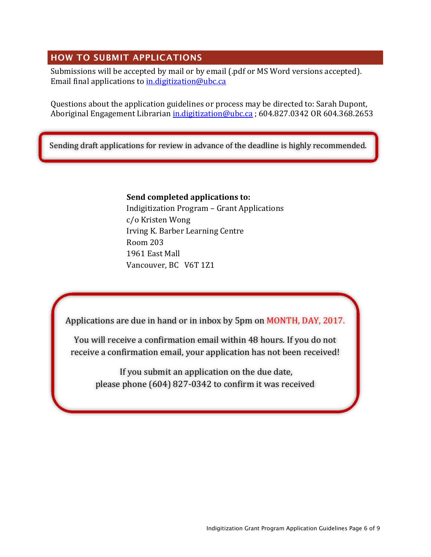## <span id="page-5-0"></span>**HOW TO SUBMIT APPLICATIONS**

Submissions will be accepted by mail or by email (.pdf or MS Word versions accepted). Email final applications t[o in.digitization@ubc.ca](mailto:in.digitization@ubc.ca)

Questions about the application guidelines or process may be directed to: Sarah Dupont, Aboriginal Engagement Librarian *in.digitization@ubc.ca* ; 604.827.0342 OR 604.368.2653

Sending draft applications for review in advance of the deadline is highly recommended.

#### **Send completed applications to:**

Indigitization Program – Grant Applications c/o Kristen Wong Irving K. Barber Learning Centre Room 203 1961 East Mall Vancouver, BC V6T 1Z1

Applications are due in hand or in inbox by 5pm on MONTH, DAY, 2017.

You will receive a confirmation email within 48 hours. If you do not receive a confirmation email, your application has not been received!

If you submit an application on the due date, please phone (604) 827-0342 to confirm it was received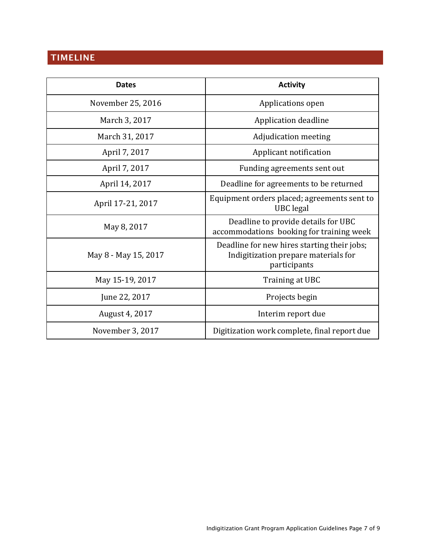# **TIMELINE**

| <b>Dates</b>         | <b>Activity</b>                                                                                     |  |
|----------------------|-----------------------------------------------------------------------------------------------------|--|
| November 25, 2016    | Applications open                                                                                   |  |
| March 3, 2017        | Application deadline                                                                                |  |
| March 31, 2017       | Adjudication meeting                                                                                |  |
| April 7, 2017        | Applicant notification                                                                              |  |
| April 7, 2017        | Funding agreements sent out                                                                         |  |
| April 14, 2017       | Deadline for agreements to be returned                                                              |  |
| April 17-21, 2017    | Equipment orders placed; agreements sent to<br><b>UBC</b> legal                                     |  |
| May 8, 2017          | Deadline to provide details for UBC<br>accommodations booking for training week                     |  |
| May 8 - May 15, 2017 | Deadline for new hires starting their jobs;<br>Indigitization prepare materials for<br>participants |  |
| May 15-19, 2017      | Training at UBC                                                                                     |  |
| June 22, 2017        | Projects begin                                                                                      |  |
| August 4, 2017       | Interim report due                                                                                  |  |
| November 3, 2017     | Digitization work complete, final report due                                                        |  |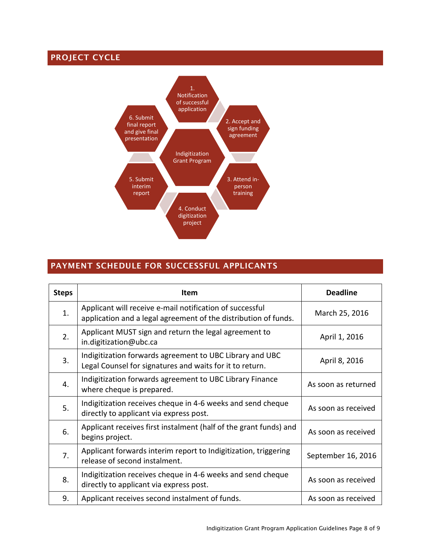## <span id="page-7-0"></span>**PROJECT CYCLE**



## <span id="page-7-1"></span>**PAYMENT SCHEDULE FOR SUCCESSFUL APPLICANTS**

| <b>Steps</b>   | Item                                                                                                                        | <b>Deadline</b>     |
|----------------|-----------------------------------------------------------------------------------------------------------------------------|---------------------|
| 1.             | Applicant will receive e-mail notification of successful<br>application and a legal agreement of the distribution of funds. | March 25, 2016      |
| 2.             | Applicant MUST sign and return the legal agreement to<br>in.digitization@ubc.ca                                             | April 1, 2016       |
| 3.             | Indigitization forwards agreement to UBC Library and UBC<br>Legal Counsel for signatures and waits for it to return.        | April 8, 2016       |
| $\mathbf{4}$ . | Indigitization forwards agreement to UBC Library Finance<br>where cheque is prepared.                                       | As soon as returned |
| 5.             | Indigitization receives cheque in 4-6 weeks and send cheque<br>directly to applicant via express post.                      | As soon as received |
| 6.             | Applicant receives first instalment (half of the grant funds) and<br>begins project.                                        | As soon as received |
| 7.             | Applicant forwards interim report to Indigitization, triggering<br>release of second instalment.                            | September 16, 2016  |
| 8.             | Indigitization receives cheque in 4-6 weeks and send cheque<br>directly to applicant via express post.                      | As soon as received |
| 9.             | Applicant receives second instalment of funds.                                                                              | As soon as received |